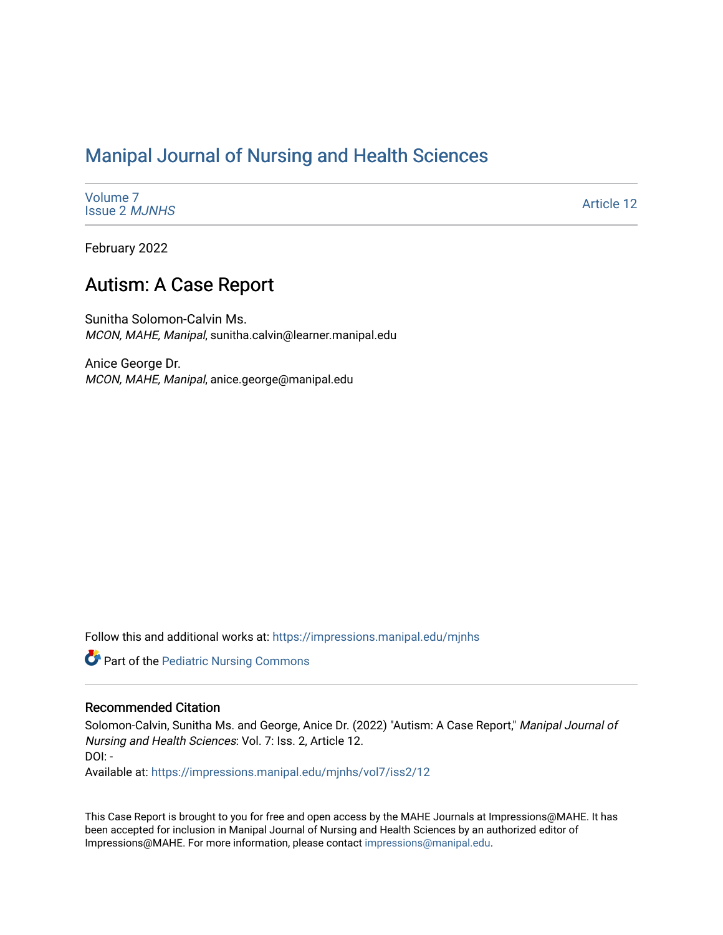# [Manipal Journal of Nursing and Health Sciences](https://impressions.manipal.edu/mjnhs)

[Volume 7](https://impressions.manipal.edu/mjnhs/vol7) [Issue 2](https://impressions.manipal.edu/mjnhs/vol7/iss2) MJNHS

[Article 12](https://impressions.manipal.edu/mjnhs/vol7/iss2/12) 

February 2022

## Autism: A Case Report

Sunitha Solomon-Calvin Ms. MCON, MAHE, Manipal, sunitha.calvin@learner.manipal.edu

Anice George Dr. MCON, MAHE, Manipal, anice.george@manipal.edu

Follow this and additional works at: [https://impressions.manipal.edu/mjnhs](https://impressions.manipal.edu/mjnhs?utm_source=impressions.manipal.edu%2Fmjnhs%2Fvol7%2Fiss2%2F12&utm_medium=PDF&utm_campaign=PDFCoverPages) 

Part of the [Pediatric Nursing Commons](http://network.bepress.com/hgg/discipline/723?utm_source=impressions.manipal.edu%2Fmjnhs%2Fvol7%2Fiss2%2F12&utm_medium=PDF&utm_campaign=PDFCoverPages)

#### Recommended Citation

Solomon-Calvin, Sunitha Ms. and George, Anice Dr. (2022) "Autism: A Case Report," Manipal Journal of Nursing and Health Sciences: Vol. 7: Iss. 2, Article 12. DOI: -

Available at: [https://impressions.manipal.edu/mjnhs/vol7/iss2/12](https://impressions.manipal.edu/mjnhs/vol7/iss2/12?utm_source=impressions.manipal.edu%2Fmjnhs%2Fvol7%2Fiss2%2F12&utm_medium=PDF&utm_campaign=PDFCoverPages)

This Case Report is brought to you for free and open access by the MAHE Journals at Impressions@MAHE. It has been accepted for inclusion in Manipal Journal of Nursing and Health Sciences by an authorized editor of Impressions@MAHE. For more information, please contact [impressions@manipal.edu](mailto:impressions@manipal.edu).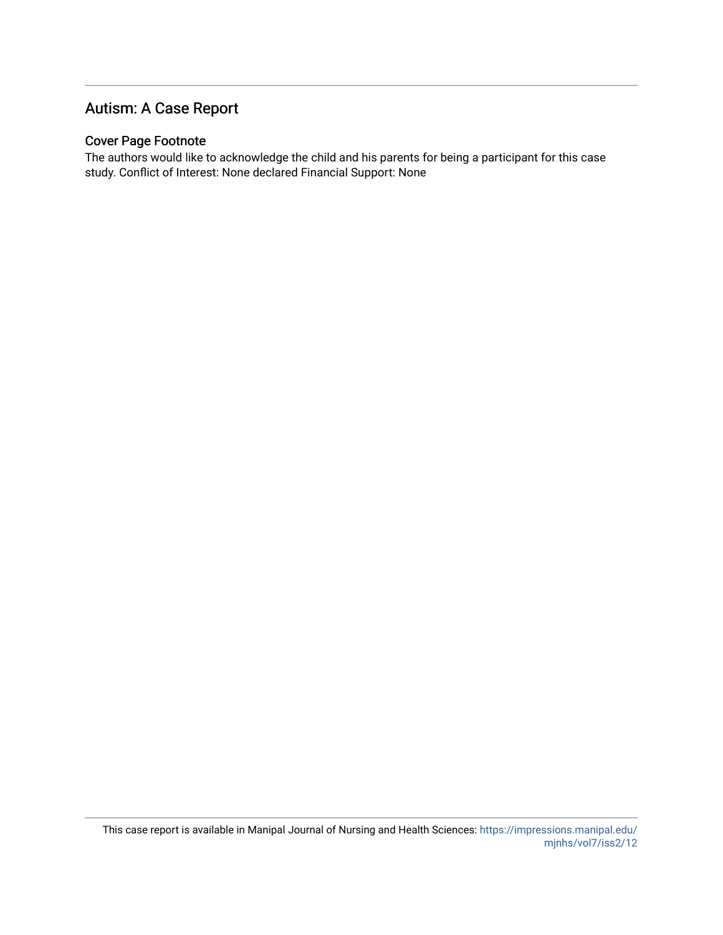### Autism: A Case Report

#### Cover Page Footnote

The authors would like to acknowledge the child and his parents for being a participant for this case study. Conflict of Interest: None declared Financial Support: None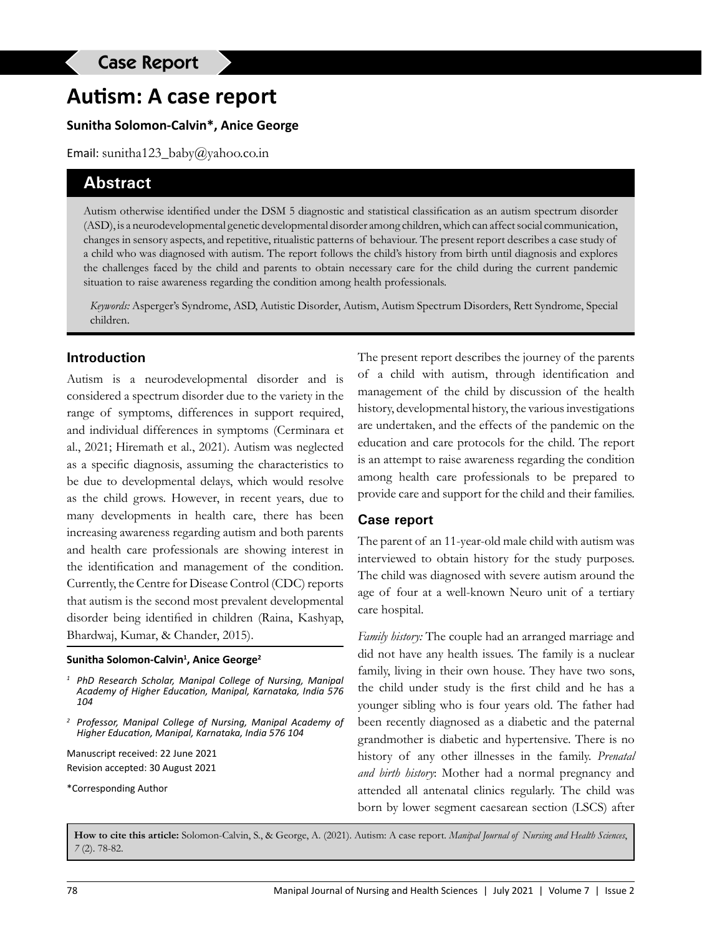# **Autism: A case report**

#### **Sunitha Solomon-Calvin\*, Anice George**

Email: sunitha123\_baby@yahoo.co.in

#### **Abstract**

Autism otherwise identified under the DSM 5 diagnostic and statistical classification as an autism spectrum disorder (ASD), is a neurodevelopmental genetic developmental disorder among children, which can affect social communication, changes in sensory aspects, and repetitive, ritualistic patterns of behaviour. The present report describes a case study of a child who was diagnosed with autism. The report follows the child's history from birth until diagnosis and explores the challenges faced by the child and parents to obtain necessary care for the child during the current pandemic situation to raise awareness regarding the condition among health professionals.

*Keywords:* Asperger's Syndrome, ASD, Autistic Disorder, Autism, Autism Spectrum Disorders, Rett Syndrome, Special children.

#### **Introduction**

Autism is a neurodevelopmental disorder and is considered a spectrum disorder due to the variety in the range of symptoms, differences in support required, and individual differences in symptoms (Cerminara et al., 2021; Hiremath et al., 2021). Autism was neglected as a specific diagnosis, assuming the characteristics to be due to developmental delays, which would resolve as the child grows. However, in recent years, due to many developments in health care, there has been increasing awareness regarding autism and both parents and health care professionals are showing interest in the identification and management of the condition. Currently, the Centre for Disease Control (CDC) reports that autism is the second most prevalent developmental disorder being identified in children (Raina, Kashyap, Bhardwaj, Kumar, & Chander, 2015).

#### **Sunitha Solomon-Calvin1 , Anice George2**

- *<sup>1</sup> PhD Research Scholar, Manipal College of Nursing, Manipal Academy of Higher Education, Manipal, Karnataka, India 576 104*
- *<sup>2</sup> Professor, Manipal College of Nursing, Manipal Academy of Higher Education, Manipal, Karnataka, India 576 104*

Manuscript received: 22 June 2021 Revision accepted: 30 August 2021

\*Corresponding Author

The present report describes the journey of the parents of a child with autism, through identification and management of the child by discussion of the health history, developmental history, the various investigations are undertaken, and the effects of the pandemic on the education and care protocols for the child. The report is an attempt to raise awareness regarding the condition among health care professionals to be prepared to provide care and support for the child and their families.

#### **Case report**

The parent of an 11-year-old male child with autism was interviewed to obtain history for the study purposes. The child was diagnosed with severe autism around the age of four at a well-known Neuro unit of a tertiary care hospital.

*Family history:* The couple had an arranged marriage and did not have any health issues. The family is a nuclear family, living in their own house. They have two sons, the child under study is the first child and he has a younger sibling who is four years old. The father had been recently diagnosed as a diabetic and the paternal grandmother is diabetic and hypertensive. There is no history of any other illnesses in the family. *Prenatal and birth history*: Mother had a normal pregnancy and attended all antenatal clinics regularly. The child was born by lower segment caesarean section (LSCS) after

**How to cite this article:** Solomon-Calvin, S., & George, A. (2021). Autism: A case report. *Manipal Journal of Nursing and Health Sciences*, *7* (2). 78-82.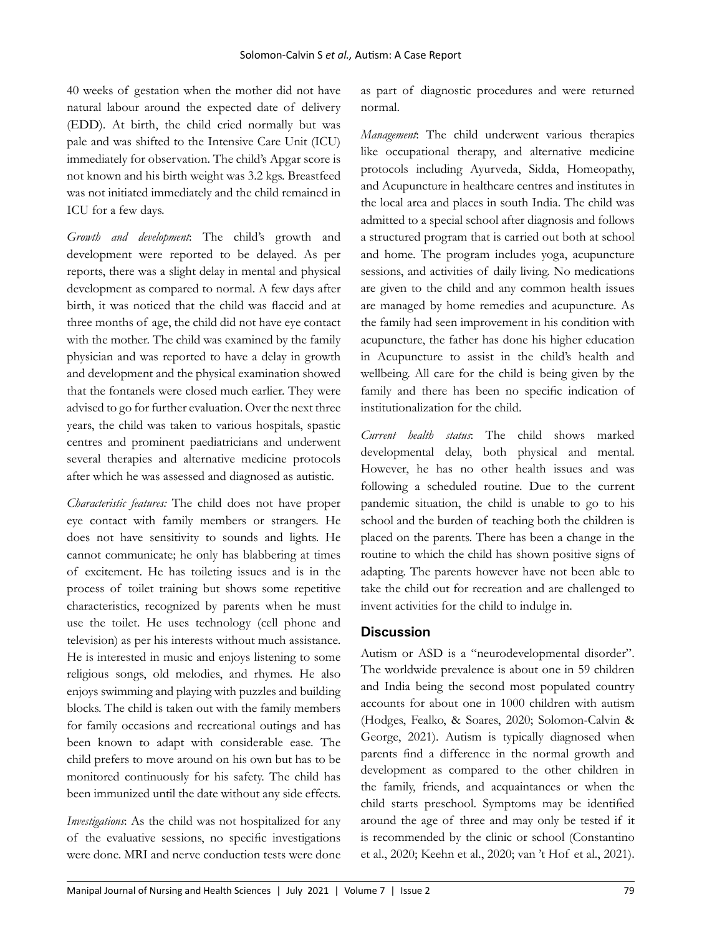40 weeks of gestation when the mother did not have natural labour around the expected date of delivery (EDD). At birth, the child cried normally but was pale and was shifted to the Intensive Care Unit (ICU) immediately for observation. The child's Apgar score is not known and his birth weight was 3.2 kgs. Breastfeed was not initiated immediately and the child remained in ICU for a few days.

*Growth and development*: The child's growth and development were reported to be delayed. As per reports, there was a slight delay in mental and physical development as compared to normal. A few days after birth, it was noticed that the child was flaccid and at three months of age, the child did not have eye contact with the mother. The child was examined by the family physician and was reported to have a delay in growth and development and the physical examination showed that the fontanels were closed much earlier. They were advised to go for further evaluation. Over the next three years, the child was taken to various hospitals, spastic centres and prominent paediatricians and underwent several therapies and alternative medicine protocols after which he was assessed and diagnosed as autistic.

*Characteristic features:* The child does not have proper eye contact with family members or strangers. He does not have sensitivity to sounds and lights. He cannot communicate; he only has blabbering at times of excitement. He has toileting issues and is in the process of toilet training but shows some repetitive characteristics, recognized by parents when he must use the toilet. He uses technology (cell phone and television) as per his interests without much assistance. He is interested in music and enjoys listening to some religious songs, old melodies, and rhymes. He also enjoys swimming and playing with puzzles and building blocks. The child is taken out with the family members for family occasions and recreational outings and has been known to adapt with considerable ease. The child prefers to move around on his own but has to be monitored continuously for his safety. The child has been immunized until the date without any side effects.

*Investigations*: As the child was not hospitalized for any of the evaluative sessions, no specific investigations were done. MRI and nerve conduction tests were done as part of diagnostic procedures and were returned normal.

*Management*: The child underwent various therapies like occupational therapy, and alternative medicine protocols including Ayurveda, Sidda, Homeopathy, and Acupuncture in healthcare centres and institutes in the local area and places in south India. The child was admitted to a special school after diagnosis and follows a structured program that is carried out both at school and home. The program includes yoga, acupuncture sessions, and activities of daily living. No medications are given to the child and any common health issues are managed by home remedies and acupuncture. As the family had seen improvement in his condition with acupuncture, the father has done his higher education in Acupuncture to assist in the child's health and wellbeing. All care for the child is being given by the family and there has been no specific indication of institutionalization for the child.

*Current health status*: The child shows marked developmental delay, both physical and mental. However, he has no other health issues and was following a scheduled routine. Due to the current pandemic situation, the child is unable to go to his school and the burden of teaching both the children is placed on the parents. There has been a change in the routine to which the child has shown positive signs of adapting. The parents however have not been able to take the child out for recreation and are challenged to invent activities for the child to indulge in.

#### **Discussion**

Autism or ASD is a "neurodevelopmental disorder". The worldwide prevalence is about one in 59 children and India being the second most populated country accounts for about one in 1000 children with autism (Hodges, Fealko, & Soares, 2020; Solomon-Calvin & George, 2021). Autism is typically diagnosed when parents find a difference in the normal growth and development as compared to the other children in the family, friends, and acquaintances or when the child starts preschool. Symptoms may be identified around the age of three and may only be tested if it is recommended by the clinic or school (Constantino et al., 2020; Keehn et al., 2020; van 't Hof et al., 2021).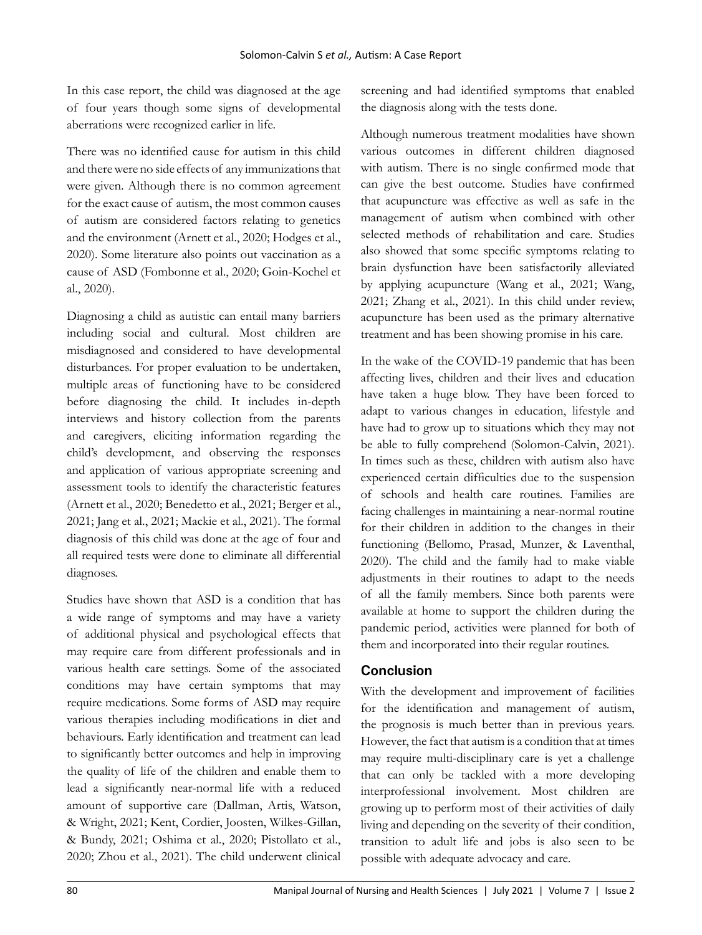In this case report, the child was diagnosed at the age of four years though some signs of developmental aberrations were recognized earlier in life.

There was no identified cause for autism in this child and there were no side effects of any immunizations that were given. Although there is no common agreement for the exact cause of autism, the most common causes of autism are considered factors relating to genetics and the environment (Arnett et al., 2020; Hodges et al., 2020). Some literature also points out vaccination as a cause of ASD (Fombonne et al., 2020; Goin-Kochel et al., 2020).

Diagnosing a child as autistic can entail many barriers including social and cultural. Most children are misdiagnosed and considered to have developmental disturbances. For proper evaluation to be undertaken, multiple areas of functioning have to be considered before diagnosing the child. It includes in-depth interviews and history collection from the parents and caregivers, eliciting information regarding the child's development, and observing the responses and application of various appropriate screening and assessment tools to identify the characteristic features (Arnett et al., 2020; Benedetto et al., 2021; Berger et al., 2021; Jang et al., 2021; Mackie et al., 2021). The formal diagnosis of this child was done at the age of four and all required tests were done to eliminate all differential diagnoses.

Studies have shown that ASD is a condition that has a wide range of symptoms and may have a variety of additional physical and psychological effects that may require care from different professionals and in various health care settings. Some of the associated conditions may have certain symptoms that may require medications. Some forms of ASD may require various therapies including modifications in diet and behaviours. Early identification and treatment can lead to significantly better outcomes and help in improving the quality of life of the children and enable them to lead a significantly near-normal life with a reduced amount of supportive care (Dallman, Artis, Watson, & Wright, 2021; Kent, Cordier, Joosten, Wilkes-Gillan, & Bundy, 2021; Oshima et al., 2020; Pistollato et al., 2020; Zhou et al., 2021). The child underwent clinical

screening and had identified symptoms that enabled the diagnosis along with the tests done.

Although numerous treatment modalities have shown various outcomes in different children diagnosed with autism. There is no single confirmed mode that can give the best outcome. Studies have confirmed that acupuncture was effective as well as safe in the management of autism when combined with other selected methods of rehabilitation and care. Studies also showed that some specific symptoms relating to brain dysfunction have been satisfactorily alleviated by applying acupuncture (Wang et al., 2021; Wang, 2021; Zhang et al., 2021). In this child under review, acupuncture has been used as the primary alternative treatment and has been showing promise in his care.

In the wake of the COVID-19 pandemic that has been affecting lives, children and their lives and education have taken a huge blow. They have been forced to adapt to various changes in education, lifestyle and have had to grow up to situations which they may not be able to fully comprehend (Solomon-Calvin, 2021). In times such as these, children with autism also have experienced certain difficulties due to the suspension of schools and health care routines. Families are facing challenges in maintaining a near-normal routine for their children in addition to the changes in their functioning (Bellomo, Prasad, Munzer, & Laventhal, 2020). The child and the family had to make viable adjustments in their routines to adapt to the needs of all the family members. Since both parents were available at home to support the children during the pandemic period, activities were planned for both of them and incorporated into their regular routines.

#### **Conclusion**

With the development and improvement of facilities for the identification and management of autism, the prognosis is much better than in previous years. However, the fact that autism is a condition that at times may require multi-disciplinary care is yet a challenge that can only be tackled with a more developing interprofessional involvement. Most children are growing up to perform most of their activities of daily living and depending on the severity of their condition, transition to adult life and jobs is also seen to be possible with adequate advocacy and care.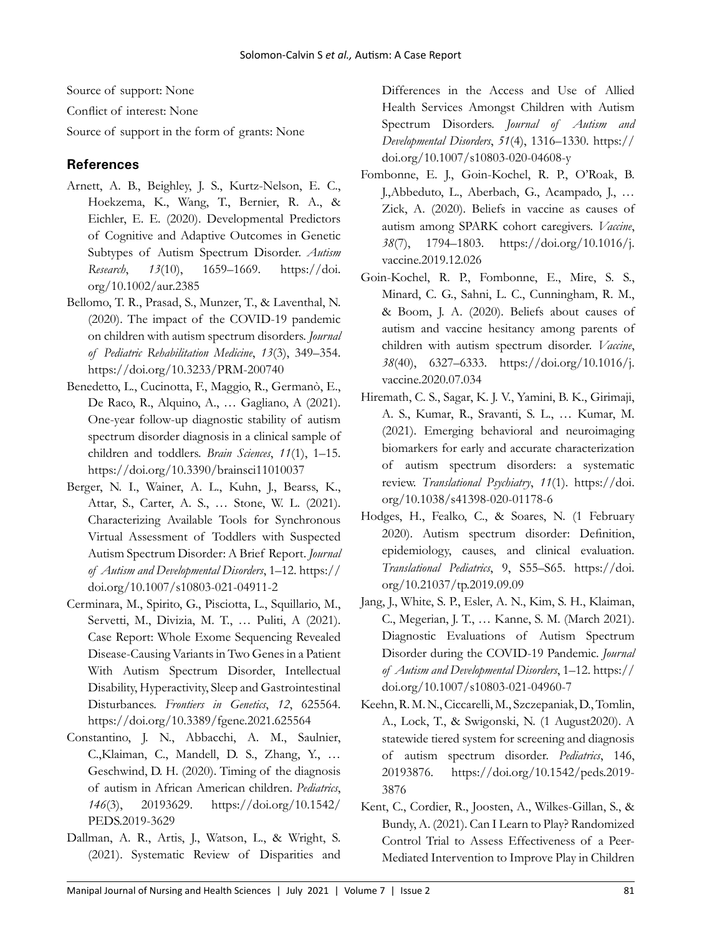Source of support: None

Conflict of interest: None

Source of support in the form of grants: None

#### **References**

- Arnett, A. B., Beighley, J. S., Kurtz-Nelson, E. C., Hoekzema, K., Wang, T., Bernier, R. A., & Eichler, E. E. (2020). Developmental Predictors of Cognitive and Adaptive Outcomes in Genetic Subtypes of Autism Spectrum Disorder. *Autism Research*, *13*(10), 1659–1669. https://doi. org/10.1002/aur.2385
- Bellomo, T. R., Prasad, S., Munzer, T., & Laventhal, N. (2020). The impact of the COVID-19 pandemic on children with autism spectrum disorders. *Journal of Pediatric Rehabilitation Medicine*, *13*(3), 349–354. https://doi.org/10.3233/PRM-200740
- Benedetto, L., Cucinotta, F., Maggio, R., Germanò, E., De Raco, R., Alquino, A., … Gagliano, A (2021). One-year follow-up diagnostic stability of autism spectrum disorder diagnosis in a clinical sample of children and toddlers. *Brain Sciences*, *11*(1), 1–15. https://doi.org/10.3390/brainsci11010037
- Berger, N. I., Wainer, A. L., Kuhn, J., Bearss, K., Attar, S., Carter, A. S., … Stone, W. L. (2021). Characterizing Available Tools for Synchronous Virtual Assessment of Toddlers with Suspected Autism Spectrum Disorder: A Brief Report. *Journal of Autism and Developmental Disorders*, 1–12. https:// doi.org/10.1007/s10803-021-04911-2
- Cerminara, M., Spirito, G., Pisciotta, L., Squillario, M., Servetti, M., Divizia, M. T., … Puliti, A (2021). Case Report: Whole Exome Sequencing Revealed Disease-Causing Variants in Two Genes in a Patient With Autism Spectrum Disorder, Intellectual Disability, Hyperactivity, Sleep and Gastrointestinal Disturbances. *Frontiers in Genetics*, *12*, 625564. https://doi.org/10.3389/fgene.2021.625564
- Constantino, J. N., Abbacchi, A. M., Saulnier, C.,Klaiman, C., Mandell, D. S., Zhang, Y., … Geschwind, D. H. (2020). Timing of the diagnosis of autism in African American children. *Pediatrics*, *146*(3), 20193629. https://doi.org/10.1542/ PEDS.2019-3629
- Dallman, A. R., Artis, J., Watson, L., & Wright, S. (2021). Systematic Review of Disparities and

Differences in the Access and Use of Allied Health Services Amongst Children with Autism Spectrum Disorders. *Journal of Autism and Developmental Disorders*, *51*(4), 1316–1330. https:// doi.org/10.1007/s10803-020-04608-y

- Fombonne, E. J., Goin-Kochel, R. P., O'Roak, B. J.,Abbeduto, L., Aberbach, G., Acampado, J., … Zick, A. (2020). Beliefs in vaccine as causes of autism among SPARK cohort caregivers. *Vaccine*, *38*(7), 1794–1803. https://doi.org/10.1016/j. vaccine.2019.12.026
- Goin-Kochel, R. P., Fombonne, E., Mire, S. S., Minard, C. G., Sahni, L. C., Cunningham, R. M., & Boom, J. A. (2020). Beliefs about causes of autism and vaccine hesitancy among parents of children with autism spectrum disorder. *Vaccine*, *38*(40), 6327–6333. https://doi.org/10.1016/j. vaccine.2020.07.034
- Hiremath, C. S., Sagar, K. J. V., Yamini, B. K., Girimaji, A. S., Kumar, R., Sravanti, S. L., … Kumar, M. (2021). Emerging behavioral and neuroimaging biomarkers for early and accurate characterization of autism spectrum disorders: a systematic review. *Translational Psychiatry*, *11*(1). https://doi. org/10.1038/s41398-020-01178-6
- Hodges, H., Fealko, C., & Soares, N. (1 February 2020). Autism spectrum disorder: Definition, epidemiology, causes, and clinical evaluation. *Translational Pediatrics*, 9, S55–S65. https://doi. org/10.21037/tp.2019.09.09
- Jang, J., White, S. P., Esler, A. N., Kim, S. H., Klaiman, C., Megerian, J. T., … Kanne, S. M. (March 2021). Diagnostic Evaluations of Autism Spectrum Disorder during the COVID-19 Pandemic. *Journal of Autism and Developmental Disorders*, 1–12. https:// doi.org/10.1007/s10803-021-04960-7
- Keehn, R. M. N., Ciccarelli, M., Szczepaniak, D., Tomlin, A., Lock, T., & Swigonski, N. (1 August2020). A statewide tiered system for screening and diagnosis of autism spectrum disorder. *Pediatrics*, 146, 20193876. https://doi.org/10.1542/peds.2019- 3876
- Kent, C., Cordier, R., Joosten, A., Wilkes-Gillan, S., & Bundy, A. (2021). Can I Learn to Play? Randomized Control Trial to Assess Effectiveness of a Peer-Mediated Intervention to Improve Play in Children